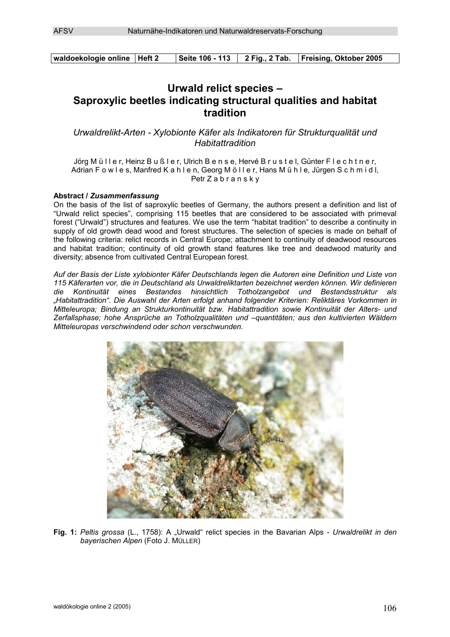| waldoekologie online   Heft 2 |  | Seite 106 - 113 2 Fig., 2 Tab. Freising, Oktober 2005 |
|-------------------------------|--|-------------------------------------------------------|

# **Urwald relict species – Saproxylic beetles indicating structural qualities and habitat tradition**

*Urwaldrelikt-Arten - Xylobionte Käfer als Indikatoren für Strukturqualität und Habitattradition* 

Jörg M ü I l e r, Heinz B u ß l e r, Ulrich B e n s e, Hervé B r u s t e l, Günter F l e c h t n e r, Adrian F o w l e s, Manfred K a h l e n, Georg M ö l l e r, Hans M ü h l e, Jürgen S c h m i d l, Petr Z a b r a n s k y

## **Abstract /** *Zusammenfassung*

On the basis of the list of saproxylic beetles of Germany, the authors present a definition and list of "Urwald relict species", comprising 115 beetles that are considered to be associated with primeval forest ("Urwald") structures and features. We use the term "habitat tradition" to describe a continuity in supply of old growth dead wood and forest structures. The selection of species is made on behalf of the following criteria: relict records in Central Europe; attachment to continuity of deadwood resources and habitat tradition; continuity of old growth stand features like tree and deadwood maturity and diversity; absence from cultivated Central European forest.

*Auf der Basis der Liste xylobionter Käfer Deutschlands legen die Autoren eine Definition und Liste von 115 Käferarten vor, die in Deutschland als Urwaldreliktarten bezeichnet werden können. Wir definieren die Kontinuität eines Bestandes hinsichtlich Totholzangebot und Bestandsstruktur als "Habitattradition". Die Auswahl der Arten erfolgt anhand folgender Kriterien: Reliktäres Vorkommen in Mitteleuropa; Bindung an Strukturkontinuität bzw. Habitattradition sowie Kontinuität der Alters- und Zerfallsphase; hohe Ansprüche an Totholzqualitäten und –quantitäten; aus den kultivierten Wäldern Mitteleuropas verschwindend oder schon verschwunden.* 



**Fig. 1:** *Peltis grossa* (L., 1758): A "Urwald" relict species in the Bavarian Alps - *Urwaldrelikt in den bayerischen Alpen* (Foto J. MÜLLER)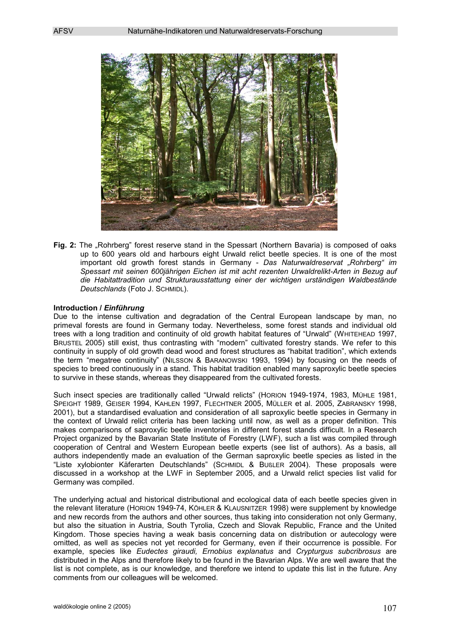

**Fig. 2:** The "Rohrberg" forest reserve stand in the Spessart (Northern Bavaria) is composed of oaks up to 600 years old and harbours eight Urwald relict beetle species. It is one of the most important old growth forest stands in Germany - *Das Naturwaldreservat "Rohrberg" im Spessart mit seinen 600jährigen Eichen ist mit acht rezenten Urwaldrelikt-Arten in Bezug auf die Habitattradition und Strukturausstattung einer der wichtigen urständigen Waldbestände Deutschlands* (Foto J. SCHMIDL).

### **Introduction /** *Einführung*

Due to the intense cultivation and degradation of the Central European landscape by man, no primeval forests are found in Germany today. Nevertheless, some forest stands and individual old trees with a long tradition and continuity of old growth habitat features of "Urwald" (WHITEHEAD 1997, BRUSTEL 2005) still exist, thus contrasting with "modern" cultivated forestry stands. We refer to this continuity in supply of old growth dead wood and forest structures as "habitat tradition", which extends the term "megatree continuity" (NILSSON & BARANOWSKI 1993, 1994) by focusing on the needs of species to breed continuously in a stand. This habitat tradition enabled many saproxylic beetle species to survive in these stands, whereas they disappeared from the cultivated forests.

Such insect species are traditionally called "Urwald relicts" (HORION 1949-1974, 1983, MÜHLE 1981, SPEIGHT 1989, GEISER 1994, KAHLEN 1997, FLECHTNER 2005, MÜLLER et al. 2005, ZABRANSKY 1998, 2001), but a standardised evaluation and consideration of all saproxylic beetle species in Germany in the context of Urwald relict criteria has been lacking until now, as well as a proper definition. This makes comparisons of saproxylic beetle inventories in different forest stands difficult. In a Research Project organized by the Bavarian State Institute of Forestry (LWF), such a list was compiled through cooperation of Central and Western European beetle experts (see list of authors). As a basis, all authors independently made an evaluation of the German saproxylic beetle species as listed in the "Liste xylobionter Käferarten Deutschlands" (SCHMIDL & BUßLER 2004). These proposals were discussed in a workshop at the LWF in September 2005, and a Urwald relict species list valid for Germany was compiled.

The underlying actual and historical distributional and ecological data of each beetle species given in the relevant literature (HORION 1949-74, KÖHLER & KLAUSNITZER 1998) were supplement by knowledge and new records from the authors and other sources, thus taking into consideration not only Germany, but also the situation in Austria, South Tyrolia, Czech and Slovak Republic, France and the United Kingdom. Those species having a weak basis concerning data on distribution or autecology were omitted, as well as species not yet recorded for Germany, even if their occurrence is possible. For example, species like *Eudectes giraudi, Ernobius explanatus* and *Crypturgus subcribrosus* are distributed in the Alps and therefore likely to be found in the Bavarian Alps. We are well aware that the list is not complete, as is our knowledge, and therefore we intend to update this list in the future. Any comments from our colleagues will be welcomed.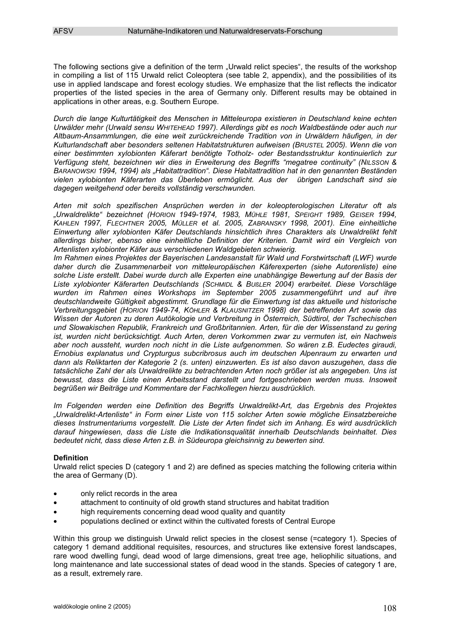The following sections give a definition of the term "Urwald relict species", the results of the workshop in compiling a list of 115 Urwald relict Coleoptera (see table 2, appendix), and the possibilities of its use in applied landscape and forest ecology studies. We emphasize that the list reflects the indicator properties of the listed species in the area of Germany only. Different results may be obtained in applications in other areas, e.g. Southern Europe.

*Durch die lange Kulturtätigkeit des Menschen in Mitteleuropa existieren in Deutschland keine echten Urwälder mehr (Urwald sensu WHITEHEAD 1997). Allerdings gibt es noch Waldbestände oder auch nur Altbaum-Ansammlungen, die eine weit zurückreichende Tradition von in Urwäldern häufigen, in der Kulturlandschaft aber besonders seltenen Habitatstrukturen aufweisen (BRUSTEL 2005). Wenn die von einer bestimmten xylobionten Käferart benötigte Totholz- oder Bestandsstruktur kontinuierlich zur Verfügung steht, bezeichnen wir dies in Erweiterung des Begriffs "megatree continuity" (NILSSON & BARANOWSKI 1994, 1994) als "Habitattradition". Diese Habitattradition hat in den genannten Beständen vielen xylobionten Käferarten das Überleben ermöglicht. Aus der übrigen Landschaft sind sie dagegen weitgehend oder bereits vollständig verschwunden.* 

*Arten mit solch spezifischen Ansprüchen werden in der koleopterologischen Literatur oft als "Urwaldrelikte" bezeichnet (HORION 1949-1974, 1983, MÜHLE 1981, SPEIGHT 1989, GEISER 1994, KAHLEN 1997, FLECHTNER 2005, MÜLLER et al. 2005, ZABRANSKY 1998, 2001). Eine einheitliche Einwertung aller xylobionten Käfer Deutschlands hinsichtlich ihres Charakters als Urwaldrelikt fehlt allerdings bisher, ebenso eine einheitliche Definition der Kriterien. Damit wird ein Vergleich von Artenlisten xylobionter Käfer aus verschiedenen Waldgebieten schwierig.* 

*Im Rahmen eines Projektes der Bayerischen Landesanstalt für Wald und Forstwirtschaft (LWF) wurde daher durch die Zusammenarbeit von mitteleuropäischen Käferexperten (siehe Autorenliste) eine solche Liste erstellt. Dabei wurde durch alle Experten eine unabhängige Bewertung auf der Basis der Liste xylobionter Käferarten Deutschlands (SCHMIDL & BUßLER 2004) erarbeitet. Diese Vorschläge wurden im Rahmen eines Workshops im September 2005 zusammengeführt und auf ihre deutschlandweite Gültigkeit abgestimmt. Grundlage für die Einwertung ist das aktuelle und historische Verbreitungsgebiet (HORION 1949-74, KÖHLER & KLAUSNITZER 1998) der betreffenden Art sowie das Wissen der Autoren zu deren Autökologie und Verbreitung in Österreich, Südtirol, der Tschechischen und Slowakischen Republik, Frankreich und Großbritannien. Arten, für die der Wissenstand zu gering ist, wurden nicht berücksichtigt. Auch Arten, deren Vorkommen zwar zu vermuten ist, ein Nachweis aber noch aussteht, wurden noch nicht in die Liste aufgenommen. So wären z.B. Eudectes giraudi, Ernobius explanatus und Crypturgus subcribrosus auch im deutschen Alpenraum zu erwarten und dann als Reliktarten der Kategorie 2 (s. unten) einzuwerten. Es ist also davon auszugehen, dass die tatsächliche Zahl der als Urwaldrelikte zu betrachtenden Arten noch größer ist als angegeben. Uns ist bewusst, dass die Liste einen Arbeitsstand darstellt und fortgeschrieben werden muss. Insoweit begrüßen wir Beiträge und Kommentare der Fachkollegen hierzu ausdrücklich.* 

*Im Folgenden werden eine Definition des Begriffs Urwaldrelikt-Art, das Ergebnis des Projektes "Urwaldrelikt-Artenliste" in Form einer Liste von 115 solcher Arten sowie mögliche Einsatzbereiche dieses Instrumentariums vorgestellt. Die Liste der Arten findet sich im Anhang. Es wird ausdrücklich darauf hingewiesen, dass die Liste die Indikationsqualität innerhalb Deutschlands beinhaltet. Dies bedeutet nicht, dass diese Arten z.B. in Südeuropa gleichsinnig zu bewerten sind.* 

## **Definition**

Urwald relict species D (category 1 and 2) are defined as species matching the following criteria within the area of Germany (D).

- only relict records in the area
- attachment to continuity of old growth stand structures and habitat tradition
- $\bullet$ high requirements concerning dead wood quality and quantity
- populations declined or extinct within the cultivated forests of Central Europe

Within this group we distinguish Urwald relict species in the closest sense (=category 1). Species of category 1 demand additional requisites, resources, and structures like extensive forest landscapes, rare wood dwelling fungi, dead wood of large dimensions, great tree age, heliophilic situations, and long maintenance and late successional states of dead wood in the stands. Species of category 1 are, as a result, extremely rare.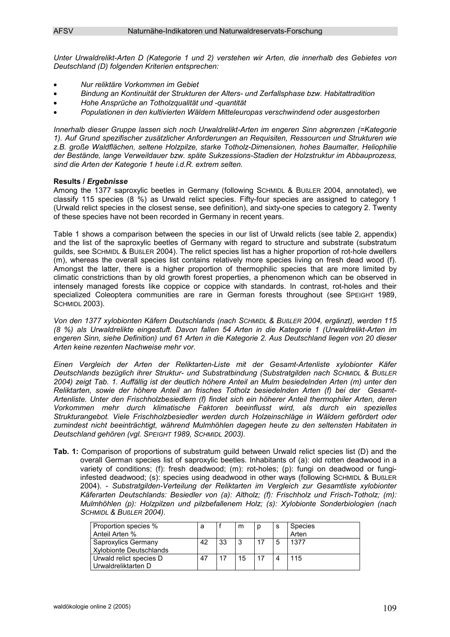*Unter Urwaldrelikt-Arten D (Kategorie 1 und 2) verstehen wir Arten, die innerhalb des Gebietes von Deutschland (D) folgenden Kriterien entsprechen:* 

- -*Nur reliktäre Vorkommen im Gebiet*
- -*Bindung an Kontinuität der Strukturen der Alters- und Zerfallsphase bzw. Habitattradition*
- -*Hohe Ansprüche an Totholzqualität und -quantität*
- -*Populationen in den kultivierten Wäldern Mitteleuropas verschwindend oder ausgestorben*

*Innerhalb dieser Gruppe lassen sich noch Urwaldrelikt-Arten im engeren Sinn abgrenzen (=Kategorie 1). Auf Grund spezifischer zusätzlicher Anforderungen an Requisiten, Ressourcen und Strukturen wie z.B. große Waldflächen, seltene Holzpilze, starke Totholz-Dimensionen, hohes Baumalter, Heliophilie der Bestände, lange Verweildauer bzw. späte Sukzessions-Stadien der Holzstruktur im Abbauprozess, sind die Arten der Kategorie 1 heute i.d.R. extrem selten.* 

## **Results /** *Ergebnisse*

Among the 1377 saproxylic beetles in Germany (following SCHMIDL & BUBLER 2004, annotated), we classify 115 species (8 %) as Urwald relict species. Fifty-four species are assigned to category 1 (Urwald relict species in the closest sense, see definition), and sixty-one species to category 2. Twenty of these species have not been recorded in Germany in recent years.

Table 1 shows a comparison between the species in our list of Urwald relicts (see table 2, appendix) and the list of the saproxylic beetles of Germany with regard to structure and substrate (substratum guilds, see SCHMIDL & BUßLER 2004). The relict species list has a higher proportion of rot-hole dwellers (m), whereas the overall species list contains relatively more species living on fresh dead wood (f). Amongst the latter, there is a higher proportion of thermophilic species that are more limited by climatic constrictions than by old growth forest properties, a phenomenon which can be observed in intensely managed forests like coppice or coppice with standards. In contrast, rot-holes and their specialized Coleoptera communities are rare in German forests throughout (see SPEIGHT 1989, **SCHMIDL 2003).** 

*Von den 1377 xylobionten Käfern Deutschlands (nach SCHMIDL & BUßLER 2004, ergänzt), werden 115 (8 %) als Urwaldrelikte eingestuft. Davon fallen 54 Arten in die Kategorie 1 (Urwaldrelikt-Arten im engeren Sinn, siehe Definition) und 61 Arten in die Kategorie 2. Aus Deutschland liegen von 20 dieser Arten keine rezenten Nachweise mehr vor.* 

*Einen Vergleich der Arten der Reliktarten-Liste mit der Gesamt-Artenliste xylobionter Käfer Deutschlands bezüglich ihrer Struktur- und Substratbindung (Substratgilden nach SCHMIDL & BUßLER 2004) zeigt Tab. 1. Auffällig ist der deutlich höhere Anteil an Mulm besiedelnden Arten (m) unter den Reliktarten, sowie der höhere Anteil an frisches Totholz besiedelnden Arten (f) bei der Gesamt-Artenliste. Unter den Frischholzbesiedlern (f) findet sich ein höherer Anteil thermophiler Arten, deren Vorkommen mehr durch klimatische Faktoren beeinflusst wird, als durch ein spezielles Strukturangebot. Viele Frischholzbesiedler werden durch Holzeinschläge in Wäldern gefördert oder zumindest nicht beeinträchtigt, während Mulmhöhlen dagegen heute zu den seltensten Habitaten in Deutschland gehören (vgl. SPEIGHT 1989, SCHMIDL 2003).* 

**Tab. 1:** Comparison of proportions of substratum guild between Urwald relict species list (D) and the overall German species list of saproxylic beetles. Inhabitants of (a): old rotten deadwood in a variety of conditions; (f): fresh deadwood; (m): rot-holes; (p): fungi on deadwood or fungiinfested deadwood; (s): species using deadwood in other ways (following SCHMIDL & BUßLER 2004). - *Substratgilden-Verteilung der Reliktarten im Vergleich zur Gesamtliste xylobionter Käferarten Deutschlands: Besiedler von (a): Altholz; (f): Frischholz und Frisch-Totholz; (m): Mulmhöhlen (p): Holzpilzen und pilzbefallenem Holz; (s): Xylobionte Sonderbiologien (nach SCHMIDL & BUßLER 2004).*

| Proportion species %<br>Anteil Arten %         | а  |    | m  | s | Species<br>Arten |
|------------------------------------------------|----|----|----|---|------------------|
| Saproxylics Germany<br>Xylobionte Deutschlands | 42 | 33 | -3 | 5 | 1377             |
| Urwald relict species D<br>Urwaldreliktarten D | 47 | 17 | 15 | Δ | 115              |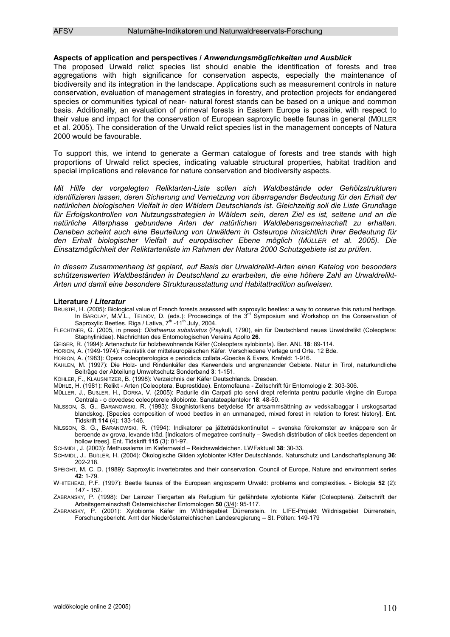#### **Aspects of application and perspectives /** *Anwendungsmöglichkeiten und Ausblick*

The proposed Urwald relict species list should enable the identification of forests and tree aggregations with high significance for conservation aspects, especially the maintenance of biodiversity and its integration in the landscape. Applications such as measurement controls in nature conservation, evaluation of management strategies in forestry, and protection projects for endangered species or communities typical of near- natural forest stands can be based on a unique and common basis. Additionally, an evaluation of primeval forests in Eastern Europe is possible, with respect to their value and impact for the conservation of European saproxylic beetle faunas in general (MÜLLER et al. 2005). The consideration of the Urwald relict species list in the management concepts of Natura 2000 would be favourable.

To support this, we intend to generate a German catalogue of forests and tree stands with high proportions of Urwald relict species, indicating valuable structural properties, habitat tradition and special implications and relevance for nature conservation and biodiversity aspects.

*Mit Hilfe der vorgelegten Reliktarten-Liste sollen sich Waldbestände oder Gehölzstrukturen identifizieren lassen, deren Sicherung und Vernetzung von überragender Bedeutung für den Erhalt der natürlichen biologischen Vielfalt in den Wäldern Deutschlands ist. Gleichzeitig soll die Liste Grundlage für Erfolgskontrollen von Nutzungsstrategien in Wäldern sein, deren Ziel es ist, seltene und an die natürliche Alterphase gebundene Arten der natürlichen Waldlebensgemeinschaft zu erhalten. Daneben scheint auch eine Beurteilung von Urwäldern in Osteuropa hinsichtlich ihrer Bedeutung für den Erhalt biologischer Vielfalt auf europäischer Ebene möglich (MÜLLER et al. 2005). Die Einsatzmöglichkeit der Reliktartenliste im Rahmen der Natura 2000 Schutzgebiete ist zu prüfen.* 

*In diesem Zusammenhang ist geplant, auf Basis der Urwaldrelikt-Arten einen Katalog von besonders schützenswerten Waldbeständen in Deutschland zu erarbeiten, die eine höhere Zahl an Urwaldrelikt-Arten und damit eine besondere Strukturausstattung und Habitattradition aufweisen.*

#### **Literature /** *Literatur*

- BRUSTEl, H. (2005): Biological value of French forests assessed with saproxylic beetles: a way to conserve this natural heritage. In BARCLAY, M.V.L., TELNOV, D. (eds.): Proceedings of the 3<sup>rd</sup> Symposium and Workshop on the Conservation of Saproxylic Beetles. Riga / Lativa, 7<sup>th</sup> -11<sup>th</sup> July, 2004.
- FLECHTNER, G. (2005, in press): *Olisthaerus substriatus* (Paykull, 1790), ein für Deutschland neues Urwaldrelikt (Coleoptera: Staphylinidae). Nachrichten des Entomologischen Vereins Apollo **26**.
- GEISER, R. (1994): Artenschutz für holzbewohnende Käfer (Coleoptera xylobionta). Ber. ANL **18**: 89-114.
- HORION, A. (1949-1974): Faunistik der mitteleuropäischen Käfer. Verschiedene Verlage und Orte. 12 Bde.

HORION, A. (1983): Opera coleopterologica e periodicis collata.-Goecke & Evers, Krefeld: 1-916.

KAHLEN, M. (1997): Die Holz- und Rindenkäfer des Karwendels und angrenzender Gebiete. Natur in Tirol, naturkundliche Beiträge der Abteilung Umweltschutz Sonderband **3**: 1-151.

- KÖHLER, F., KLAUSNITZER, B. (1998): Verzeichnis der Käfer Deutschlands. Dresden.
- MÜHLE, H. (1981): Relikt Arten (Coleoptera, Buprestidae). Entomofauna Zeitschrift für Entomologie **2**: 303-306.

MÜLLER, J., BUßLER, H., DORKA, V. (2005): Padurile din Carpati pto servi drept referinta pentru padurile virgine din Europa Centrala - o dovedesc coleopterele xilobionte. Sanatateaplantelor **18**: 48-50.

- NILSSON, S. G., BARANOWSKI, R. (1993): Skoghistorikens betydelse för artsammsättning av vedskalbaggar i urskogsartad blandskog. [Species composition of wood beetles in an unmanaged, mixed forest in relation to forest history]. Ent. Tidskrift **114** (4): 133-146.
- NILSSON, S. G., BARANOWSKI, R. (1994): Indikatorer pa jätteträdskontinuitet svenska förekomster av knäppare son är beroende av grova, levande träd. [Indicators of megatree continuity – Swedish distribution of click beetles dependent on hollow trees]. Ent. Tidskrift **115** (3): 81-97.
- SCHMIDL, J. (2003): Methusalems im Kiefernwald Reichswaldeichen. LWFaktuell **38**: 30-33.
- SCHMIDL, J., BUßLER, H. (2004): Ökologische Gilden xylobionter Käfer Deutschlands. Naturschutz und Landschaftsplanung **36**: 202-218.
- SPEIGHT, M. C. D. (1989): Saproxylic invertebrates and their conservation. Council of Europe, Nature and environment series **42**: 1-79.

WHITEHEAD, P.F. (1997): Beetle faunas of the European angiosperm Urwald: problems and complexities. - Biologia **52** (2): 147 - 152.

ZABRANSKY, P. (1998): Der Lainzer Tiergarten als Refugium für gefährdete xylobionte Käfer (Coleoptera). Zeitschrift der Arbeitsgemeinschaft Österreichischer Entomologen **50** (3/4): 95-117.

ZABRANSKY, P. (2001): Xylobionte Käfer im Wildnisgebiet Dürrenstein. In: LIFE-Projekt Wildnisgebiet Dürrenstein, Forschungsbericht. Amt der Niederösterreichischen Landesregierung – St. Pölten: 149-179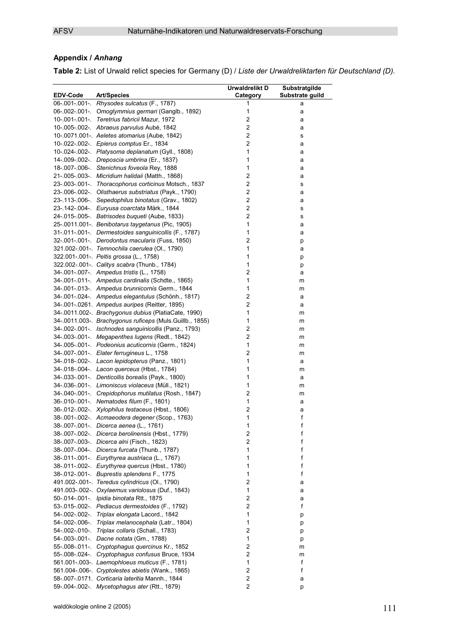## **Appendix /** *Anhang*

**Table 2:** List of Urwald relict species for Germany (D) / *Liste der Urwaldreliktarten für Deutschland (D).*

|          |                                                                                                          | Urwaldrelikt D                | Substratgilde   |
|----------|----------------------------------------------------------------------------------------------------------|-------------------------------|-----------------|
| EDV-Code | <b>Art/Species</b>                                                                                       | Category                      | Substrate guild |
|          | 06-.001-.001-. Rhysodes sulcatus (F., 1787)                                                              | 1                             | а               |
|          | 06-002-001- Omoglymmius germari (Ganglb., 1892)                                                          | 1                             | а               |
|          | 10-.001-.001-. Teretrius fabricii Mazur, 1972                                                            | $\overline{c}$                | a               |
|          | 10-.005-.002-. Abraeus parvulus Aubé, 1842                                                               | $\overline{c}$                | а               |
|          | 10-.0071.001-. Aeletes atomarius (Aube, 1842)                                                            | $\overline{c}$                | s               |
|          | 10-.022-.002-. Epierus comptus Er., 1834                                                                 | $\overline{c}$                | a               |
|          | 10-.024-.002-. Platysoma deplanatum (Gyll., 1808)                                                        | $\mathbf{1}$                  | а               |
|          | 14-.009-.002-. Dreposcia umbrina (Er., 1837)                                                             | 1                             | а               |
|          | 18-.007-.006- Stenichnus foveola Rey, 1888                                                               | $\mathbf{1}$                  | а               |
|          | 21-.005-.003-. Micridium halidaii (Matth., 1868)                                                         | $\boldsymbol{2}$              | а               |
|          | 23-.003-.001-. Thoracophorus corticinus Motsch., 1837                                                    | $\mathbf 2$                   | s               |
|          | 23-.006-.002-. Olisthaerus substriatus (Payk., 1790)                                                     | $\mathbf 2$<br>$\overline{c}$ | а               |
|          | 23-.113-.006-. Sepedophilus binotatus (Grav., 1802)                                                      | $\overline{c}$                | а               |
|          | 23-.142-.004-. Euryusa coarctata Märk., 1844<br>24-.015-.005-. Batrisodes buqueti (Aube, 1833)           | $\boldsymbol{2}$              | s               |
|          |                                                                                                          | $\mathbf{1}$                  | s               |
|          | 25-.0011.001-. Benibotarus taygetanus (Pic, 1905)<br>31-011-001-. Dermestoides sanguinicollis (F., 1787) | 1                             | а               |
|          | 32-.001-.001-. Derodontus macularis (Fuss, 1850)                                                         | $\overline{c}$                | а               |
|          | 321.002-.001-. Temnochila caerulea (Ol., 1790)                                                           | $\mathbf{1}$                  | р               |
|          | 322.001-.001-. Peltis grossa (L., 1758)                                                                  | 1                             | а               |
|          | 322.002-.001-. Calitys scabra (Thunb., 1784)                                                             | 1                             | р               |
|          | 34-.001-.007-. Ampedus tristis (L., 1758)                                                                | $\overline{c}$                | р               |
|          | 34-.001-.011- Ampedus cardinalis (Schdte., 1865)                                                         | $\mathbf{1}$                  | а<br>m          |
|          | 34-.001-.013-. Ampedus brunnicornis Germ., 1844                                                          | $\mathbf{1}$                  |                 |
|          | 34-.001-.024-. Ampedus elegantulus (Schönh., 1817)                                                       | $\overline{\mathbf{c}}$       | m<br>а          |
|          | 34-.001-.0261. Ampedus auripes (Reitter, 1895)                                                           | $\overline{c}$                | а               |
|          | 34-.0011.002-. Brachygonus dubius (PlatiaCate, 1990)                                                     | $\mathbf{1}$                  | m               |
|          | 34-.0011.003-. Brachygonus ruficeps (Muls.Guillb., 1855)                                                 | $\mathbf{1}$                  | m               |
|          | 34-.002-.001-. Ischnodes sanguinicollis (Panz., 1793)                                                    | $\overline{\mathbf{c}}$       | m               |
|          | 34-.003-.001-. Megapenthes lugens (Redt., 1842)                                                          | $\overline{\mathbf{c}}$       | m               |
|          | 34-.005-.001-. Podeonius acuticornis (Germ., 1824)                                                       | $\mathbf{1}$                  | m               |
|          | 34-.007-.001-. Elater ferrugineus L., 1758                                                               | $\overline{c}$                | m               |
|          | 34-.018-.002-. Lacon lepidopterus (Panz., 1801)                                                          | 1                             | a               |
|          | 34-.018-.004-. Lacon querceus (Hbst., 1784)                                                              | 1                             | m               |
|          | 34-.033-.001-. Denticollis borealis (Payk., 1800)                                                        | 1                             | a               |
|          | 34-.036-.001-. Limoniscus violaceus (Müll., 1821)                                                        | $\mathbf{1}$                  | m               |
|          | 34-.040-.001-. Crepidophorus mutilatus (Rosh., 1847)                                                     | $\overline{\mathbf{c}}$       | m               |
|          | 36-.010-.001-. Nematodes filum (F., 1801)                                                                | $\mathbf{1}$                  | а               |
|          | 36-.012-.002-. Xylophilus testaceus (Hbst., 1806)                                                        | $\overline{\mathbf{c}}$       | а               |
|          | 38-.001-.002-. Acmaeodera degener (Scop., 1763)                                                          | 1                             | f               |
|          | 38-.007-.001-. Dicerca aenea (L., 1761)                                                                  | 1                             | f               |
|          | 38-.007-.002-. Dicerca berolinensis (Hbst., 1779)                                                        | $\overline{2}$                | f               |
|          | 38-.007-.003-. Dicerca alni (Fisch., 1823)                                                               | $\overline{c}$                | f               |
|          | 38-.007-.004- Dicerca furcata (Thunb., 1787)                                                             | 1                             | f               |
|          | 38-.011-.001-. Eurythyrea austriaca (L., 1767)                                                           | 1                             | f               |
|          | 38-.011-.002-. Eurythyrea quercus (Hbst., 1780)                                                          | 1                             | f               |
|          | 38-.012-.001-. Buprestis splendens F., 1775                                                              | 1                             | f               |
|          | 491.002-.001-. Teredus cylindricus (Ol., 1790)                                                           | $\overline{c}$                | а               |
|          | 491.003-.002-. Oxylaemus variolosus (Duf., 1843)                                                         | 1                             | а               |
|          | 50-.014-.001-. Ipidia binotata Rtt., 1875                                                                | $\overline{\mathbf{c}}$       | а               |
|          | 53-.015-.002-. Pediacus dermestoides (F., 1792)                                                          | $\overline{c}$                | f               |
|          | 54-.002-.002-. Triplax elongata Lacord., 1842                                                            | 1                             | р               |
|          | 54-.002-.006-. Triplax melanocephala (Latr., 1804)                                                       | 1                             | р               |
|          | 54-.002-.010-. Triplax collaris (Schall., 1783)                                                          | $\overline{c}$                | р               |
|          | 54-.003-.001-. Dacne notata (Gm., 1788)                                                                  | $\mathbf{1}$                  | р               |
|          | 55-.008-.011-. Cryptophagus quercinus Kr., 1852                                                          | $\overline{c}$                | m               |
|          | 55-008-024-. Cryptophagus confusus Bruce, 1934                                                           | $\overline{c}$                | m               |
|          | 561.001-.003-. Laemophloeus muticus (F., 1781)                                                           | 1                             | f               |
|          | 561.004-.006-. Cryptolestes abietis (Wank., 1865)                                                        | $\boldsymbol{2}$              | f               |
|          | 58-.007-.0171. Corticaria lateritia Mannh., 1844                                                         | 2                             | a               |
|          | 59-.004-.002-. Mycetophagus ater (Rtt., 1879)                                                            | $\overline{c}$                | р               |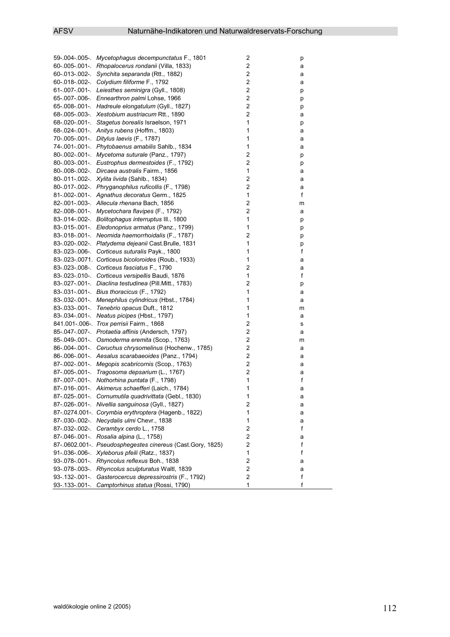| $\overline{\mathbf{c}}$<br>60-.005-.001-. Rhopalocerus rondanii (Villa, 1833)<br>а<br>$\overline{\mathbf{c}}$<br>60-.013-.002-. Synchita separanda (Rtt., 1882)<br>а<br>$\overline{\mathbf{c}}$<br>60-018-002- Colydium filiforme F., 1792<br>а<br>$\mathbf 2$<br>61-.007-.001-. Leiesthes seminigra (Gyll., 1808)<br>р<br>$\overline{\mathbf{c}}$<br>65-.007-.006-. Ennearthron palmi Lohse, 1966<br>р<br>$\overline{\mathbf{c}}$<br>65-.008-.001-. Hadreule elongatulum (Gyll., 1827)<br>р<br>$\overline{c}$<br>68-.005-.003- Xestobium austriacum Rtt., 1890<br>а<br>1<br>68-.020-.001-. Stagetus borealis Israelson, 1971<br>р<br>$\mathbf{1}$<br>68-.024-.001-. Anitys rubens (Hoffm., 1803)<br>а<br>1<br>70-.005-.001-. Ditylus laevis (F., 1787)<br>а<br>$\mathbf{1}$<br>74-.001-.001-. Phytobaenus amabilis Sahlb., 1834<br>а<br>$\overline{\mathbf{c}}$<br>80-.002-.001-. Mycetoma suturale (Panz., 1797)<br>р<br>$\overline{\mathbf{c}}$<br>80-.003-.001-. Eustrophus dermestoides (F., 1792)<br>р<br>$\mathbf{1}$<br>80-.008-.002-. Dircaea australis Fairm., 1856<br>а<br>$\overline{\mathbf{c}}$<br>80-.011-.002- Xylita livida (Sahlb., 1834)<br>а<br>$\overline{c}$<br>80-.017-.002-. Phryganophilus ruficollis (F., 1798)<br>а<br>81-.002-.001- Agnathus decoratus Germ., 1825<br>1<br>f<br>$\boldsymbol{2}$<br>82-.001-.003-. Allecula rhenana Bach, 1856<br>m<br>$\overline{\mathbf{c}}$<br>82-.008-.001-. Mycetochara flavipes (F., 1792)<br>а<br>$\mathbf{1}$<br>83-.014-.002-. Bolitophagus interruptus III., 1800<br>р<br>$\mathbf{1}$<br>83-.015-.001-. Eledonoprius armatus (Panz., 1799)<br>р<br>$\overline{c}$<br>83-.018-.001- Neomida haemorrhoidalis (F., 1787)<br>р<br>$\mathbf{1}$<br>83-.020-.002-. Platydema dejeanii Cast. Brulle, 1831<br>р<br>1<br>83-.023-.006-. Corticeus suturalis Payk., 1800<br>f<br>$\mathbf{1}$<br>83-.023-.0071. Corticeus bicoloroides (Roub., 1933)<br>а<br>$\overline{c}$<br>83-.023-.008- Corticeus fasciatus F., 1790<br>a<br>$\mathbf{1}$<br>f<br>83-.023-.010-. Corticeus versipellis Baudi, 1876<br>$\overline{\mathbf{c}}$<br>83-.027-.001-. Diaclina testudinea (Pill.Mitt., 1783)<br>р<br>$\mathbf{1}$<br>83-.031-.001-. Bius thoracicus (F., 1792)<br>а<br>1<br>83-.032-.001-. Menephilus cylindricus (Hbst., 1784)<br>а<br>1<br>83-.033-.001-. Tenebrio opacus Duft., 1812<br>m<br>$\mathbf{1}$<br>83-.034-.001-. Neatus picipes (Hbst., 1797)<br>а<br>$\overline{\mathbf{c}}$<br>841.001-.006-. Trox perrisii Fairm., 1868<br>s<br>2<br>85-.047-.007-. Protaetia affinis (Andersch, 1797)<br>а<br>$\overline{\mathbf{c}}$<br>85-.049-.001-. Osmoderma eremita (Scop., 1763)<br>m<br>$\boldsymbol{2}$<br>86-.004-.001- Ceruchus chrysomelinus (Hochenw., 1785)<br>а<br>$\overline{c}$<br>86-006-001- Aesalus scarabaeoides (Panz., 1794)<br>а<br>$\boldsymbol{2}$<br>87-.002-.001-. Megopis scabricornis (Scop., 1763)<br>а<br>$\overline{\mathbf{c}}$<br>87-.005-.001-. Tragosoma depsarium (L., 1767)<br>а<br>$\mathbf{1}$<br>f<br>87-.007-.001-. Nothorhina puntata (F., 1798)<br>87-.016-.001- Akimerus schaefferi (Laich., 1784)<br>1<br>а<br>87-025-001- Cornumutila quadrivittata (Gebl., 1830)<br>1<br>а<br>2<br>87-.026-.001-. Nivellia sanguinosa (Gyll., 1827)<br>а<br>$\mathbf{1}$<br>87-.0274.001-. Corymbia erythroptera (Hagenb., 1822)<br>а<br>$\mathbf{1}$<br>87-.030-.002- Necydalis ulmi Chevr., 1838<br>а<br>$\overline{\mathbf{c}}$<br>87-.032-.002-. Cerambyx cerdo L., 1758<br>f<br>$\overline{\mathbf{c}}$<br>87-046-001- Rosalia alpina (L., 1758)<br>а<br>2<br>87-.0602.001-. Pseudosphegestes cinereus (Cast.Gory, 1825)<br>f<br>$\mathbf{1}$<br>91-.036-.006-. Xyleborus pfeili (Ratz., 1837)<br>f<br>$\overline{\mathbf{c}}$<br>93-.078-.001-. Rhyncolus reflexus Boh., 1838<br>а<br>$\overline{\mathbf{c}}$<br>93-.078-.003-. Rhyncolus sculpturatus Waltl, 1839<br>а<br>2<br>93-.132-.001-. Gasterocercus depressirostris (F., 1792)<br>f<br>93-.133-.001-. Camptorhinus statua (Rossi, 1790)<br>1<br>f | 59-.004-.005-. Mycetophagus decempunctatus F., 1801 | 2 | р |
|-----------------------------------------------------------------------------------------------------------------------------------------------------------------------------------------------------------------------------------------------------------------------------------------------------------------------------------------------------------------------------------------------------------------------------------------------------------------------------------------------------------------------------------------------------------------------------------------------------------------------------------------------------------------------------------------------------------------------------------------------------------------------------------------------------------------------------------------------------------------------------------------------------------------------------------------------------------------------------------------------------------------------------------------------------------------------------------------------------------------------------------------------------------------------------------------------------------------------------------------------------------------------------------------------------------------------------------------------------------------------------------------------------------------------------------------------------------------------------------------------------------------------------------------------------------------------------------------------------------------------------------------------------------------------------------------------------------------------------------------------------------------------------------------------------------------------------------------------------------------------------------------------------------------------------------------------------------------------------------------------------------------------------------------------------------------------------------------------------------------------------------------------------------------------------------------------------------------------------------------------------------------------------------------------------------------------------------------------------------------------------------------------------------------------------------------------------------------------------------------------------------------------------------------------------------------------------------------------------------------------------------------------------------------------------------------------------------------------------------------------------------------------------------------------------------------------------------------------------------------------------------------------------------------------------------------------------------------------------------------------------------------------------------------------------------------------------------------------------------------------------------------------------------------------------------------------------------------------------------------------------------------------------------------------------------------------------------------------------------------------------------------------------------------------------------------------------------------------------------------------------------------------------------------------------------------------------------------------------------------------------------------------------------------------------------------------------------------------------------------------------------------------------------------------------------------------------------------------------------------------------------------------------------------------------------------------------------------------------------------------------------------|-----------------------------------------------------|---|---|
|                                                                                                                                                                                                                                                                                                                                                                                                                                                                                                                                                                                                                                                                                                                                                                                                                                                                                                                                                                                                                                                                                                                                                                                                                                                                                                                                                                                                                                                                                                                                                                                                                                                                                                                                                                                                                                                                                                                                                                                                                                                                                                                                                                                                                                                                                                                                                                                                                                                                                                                                                                                                                                                                                                                                                                                                                                                                                                                                                                                                                                                                                                                                                                                                                                                                                                                                                                                                                                                                                                                                                                                                                                                                                                                                                                                                                                                                                                                                                                                                                 |                                                     |   |   |
|                                                                                                                                                                                                                                                                                                                                                                                                                                                                                                                                                                                                                                                                                                                                                                                                                                                                                                                                                                                                                                                                                                                                                                                                                                                                                                                                                                                                                                                                                                                                                                                                                                                                                                                                                                                                                                                                                                                                                                                                                                                                                                                                                                                                                                                                                                                                                                                                                                                                                                                                                                                                                                                                                                                                                                                                                                                                                                                                                                                                                                                                                                                                                                                                                                                                                                                                                                                                                                                                                                                                                                                                                                                                                                                                                                                                                                                                                                                                                                                                                 |                                                     |   |   |
|                                                                                                                                                                                                                                                                                                                                                                                                                                                                                                                                                                                                                                                                                                                                                                                                                                                                                                                                                                                                                                                                                                                                                                                                                                                                                                                                                                                                                                                                                                                                                                                                                                                                                                                                                                                                                                                                                                                                                                                                                                                                                                                                                                                                                                                                                                                                                                                                                                                                                                                                                                                                                                                                                                                                                                                                                                                                                                                                                                                                                                                                                                                                                                                                                                                                                                                                                                                                                                                                                                                                                                                                                                                                                                                                                                                                                                                                                                                                                                                                                 |                                                     |   |   |
|                                                                                                                                                                                                                                                                                                                                                                                                                                                                                                                                                                                                                                                                                                                                                                                                                                                                                                                                                                                                                                                                                                                                                                                                                                                                                                                                                                                                                                                                                                                                                                                                                                                                                                                                                                                                                                                                                                                                                                                                                                                                                                                                                                                                                                                                                                                                                                                                                                                                                                                                                                                                                                                                                                                                                                                                                                                                                                                                                                                                                                                                                                                                                                                                                                                                                                                                                                                                                                                                                                                                                                                                                                                                                                                                                                                                                                                                                                                                                                                                                 |                                                     |   |   |
|                                                                                                                                                                                                                                                                                                                                                                                                                                                                                                                                                                                                                                                                                                                                                                                                                                                                                                                                                                                                                                                                                                                                                                                                                                                                                                                                                                                                                                                                                                                                                                                                                                                                                                                                                                                                                                                                                                                                                                                                                                                                                                                                                                                                                                                                                                                                                                                                                                                                                                                                                                                                                                                                                                                                                                                                                                                                                                                                                                                                                                                                                                                                                                                                                                                                                                                                                                                                                                                                                                                                                                                                                                                                                                                                                                                                                                                                                                                                                                                                                 |                                                     |   |   |
|                                                                                                                                                                                                                                                                                                                                                                                                                                                                                                                                                                                                                                                                                                                                                                                                                                                                                                                                                                                                                                                                                                                                                                                                                                                                                                                                                                                                                                                                                                                                                                                                                                                                                                                                                                                                                                                                                                                                                                                                                                                                                                                                                                                                                                                                                                                                                                                                                                                                                                                                                                                                                                                                                                                                                                                                                                                                                                                                                                                                                                                                                                                                                                                                                                                                                                                                                                                                                                                                                                                                                                                                                                                                                                                                                                                                                                                                                                                                                                                                                 |                                                     |   |   |
|                                                                                                                                                                                                                                                                                                                                                                                                                                                                                                                                                                                                                                                                                                                                                                                                                                                                                                                                                                                                                                                                                                                                                                                                                                                                                                                                                                                                                                                                                                                                                                                                                                                                                                                                                                                                                                                                                                                                                                                                                                                                                                                                                                                                                                                                                                                                                                                                                                                                                                                                                                                                                                                                                                                                                                                                                                                                                                                                                                                                                                                                                                                                                                                                                                                                                                                                                                                                                                                                                                                                                                                                                                                                                                                                                                                                                                                                                                                                                                                                                 |                                                     |   |   |
|                                                                                                                                                                                                                                                                                                                                                                                                                                                                                                                                                                                                                                                                                                                                                                                                                                                                                                                                                                                                                                                                                                                                                                                                                                                                                                                                                                                                                                                                                                                                                                                                                                                                                                                                                                                                                                                                                                                                                                                                                                                                                                                                                                                                                                                                                                                                                                                                                                                                                                                                                                                                                                                                                                                                                                                                                                                                                                                                                                                                                                                                                                                                                                                                                                                                                                                                                                                                                                                                                                                                                                                                                                                                                                                                                                                                                                                                                                                                                                                                                 |                                                     |   |   |
|                                                                                                                                                                                                                                                                                                                                                                                                                                                                                                                                                                                                                                                                                                                                                                                                                                                                                                                                                                                                                                                                                                                                                                                                                                                                                                                                                                                                                                                                                                                                                                                                                                                                                                                                                                                                                                                                                                                                                                                                                                                                                                                                                                                                                                                                                                                                                                                                                                                                                                                                                                                                                                                                                                                                                                                                                                                                                                                                                                                                                                                                                                                                                                                                                                                                                                                                                                                                                                                                                                                                                                                                                                                                                                                                                                                                                                                                                                                                                                                                                 |                                                     |   |   |
|                                                                                                                                                                                                                                                                                                                                                                                                                                                                                                                                                                                                                                                                                                                                                                                                                                                                                                                                                                                                                                                                                                                                                                                                                                                                                                                                                                                                                                                                                                                                                                                                                                                                                                                                                                                                                                                                                                                                                                                                                                                                                                                                                                                                                                                                                                                                                                                                                                                                                                                                                                                                                                                                                                                                                                                                                                                                                                                                                                                                                                                                                                                                                                                                                                                                                                                                                                                                                                                                                                                                                                                                                                                                                                                                                                                                                                                                                                                                                                                                                 |                                                     |   |   |
|                                                                                                                                                                                                                                                                                                                                                                                                                                                                                                                                                                                                                                                                                                                                                                                                                                                                                                                                                                                                                                                                                                                                                                                                                                                                                                                                                                                                                                                                                                                                                                                                                                                                                                                                                                                                                                                                                                                                                                                                                                                                                                                                                                                                                                                                                                                                                                                                                                                                                                                                                                                                                                                                                                                                                                                                                                                                                                                                                                                                                                                                                                                                                                                                                                                                                                                                                                                                                                                                                                                                                                                                                                                                                                                                                                                                                                                                                                                                                                                                                 |                                                     |   |   |
|                                                                                                                                                                                                                                                                                                                                                                                                                                                                                                                                                                                                                                                                                                                                                                                                                                                                                                                                                                                                                                                                                                                                                                                                                                                                                                                                                                                                                                                                                                                                                                                                                                                                                                                                                                                                                                                                                                                                                                                                                                                                                                                                                                                                                                                                                                                                                                                                                                                                                                                                                                                                                                                                                                                                                                                                                                                                                                                                                                                                                                                                                                                                                                                                                                                                                                                                                                                                                                                                                                                                                                                                                                                                                                                                                                                                                                                                                                                                                                                                                 |                                                     |   |   |
|                                                                                                                                                                                                                                                                                                                                                                                                                                                                                                                                                                                                                                                                                                                                                                                                                                                                                                                                                                                                                                                                                                                                                                                                                                                                                                                                                                                                                                                                                                                                                                                                                                                                                                                                                                                                                                                                                                                                                                                                                                                                                                                                                                                                                                                                                                                                                                                                                                                                                                                                                                                                                                                                                                                                                                                                                                                                                                                                                                                                                                                                                                                                                                                                                                                                                                                                                                                                                                                                                                                                                                                                                                                                                                                                                                                                                                                                                                                                                                                                                 |                                                     |   |   |
|                                                                                                                                                                                                                                                                                                                                                                                                                                                                                                                                                                                                                                                                                                                                                                                                                                                                                                                                                                                                                                                                                                                                                                                                                                                                                                                                                                                                                                                                                                                                                                                                                                                                                                                                                                                                                                                                                                                                                                                                                                                                                                                                                                                                                                                                                                                                                                                                                                                                                                                                                                                                                                                                                                                                                                                                                                                                                                                                                                                                                                                                                                                                                                                                                                                                                                                                                                                                                                                                                                                                                                                                                                                                                                                                                                                                                                                                                                                                                                                                                 |                                                     |   |   |
|                                                                                                                                                                                                                                                                                                                                                                                                                                                                                                                                                                                                                                                                                                                                                                                                                                                                                                                                                                                                                                                                                                                                                                                                                                                                                                                                                                                                                                                                                                                                                                                                                                                                                                                                                                                                                                                                                                                                                                                                                                                                                                                                                                                                                                                                                                                                                                                                                                                                                                                                                                                                                                                                                                                                                                                                                                                                                                                                                                                                                                                                                                                                                                                                                                                                                                                                                                                                                                                                                                                                                                                                                                                                                                                                                                                                                                                                                                                                                                                                                 |                                                     |   |   |
|                                                                                                                                                                                                                                                                                                                                                                                                                                                                                                                                                                                                                                                                                                                                                                                                                                                                                                                                                                                                                                                                                                                                                                                                                                                                                                                                                                                                                                                                                                                                                                                                                                                                                                                                                                                                                                                                                                                                                                                                                                                                                                                                                                                                                                                                                                                                                                                                                                                                                                                                                                                                                                                                                                                                                                                                                                                                                                                                                                                                                                                                                                                                                                                                                                                                                                                                                                                                                                                                                                                                                                                                                                                                                                                                                                                                                                                                                                                                                                                                                 |                                                     |   |   |
|                                                                                                                                                                                                                                                                                                                                                                                                                                                                                                                                                                                                                                                                                                                                                                                                                                                                                                                                                                                                                                                                                                                                                                                                                                                                                                                                                                                                                                                                                                                                                                                                                                                                                                                                                                                                                                                                                                                                                                                                                                                                                                                                                                                                                                                                                                                                                                                                                                                                                                                                                                                                                                                                                                                                                                                                                                                                                                                                                                                                                                                                                                                                                                                                                                                                                                                                                                                                                                                                                                                                                                                                                                                                                                                                                                                                                                                                                                                                                                                                                 |                                                     |   |   |
|                                                                                                                                                                                                                                                                                                                                                                                                                                                                                                                                                                                                                                                                                                                                                                                                                                                                                                                                                                                                                                                                                                                                                                                                                                                                                                                                                                                                                                                                                                                                                                                                                                                                                                                                                                                                                                                                                                                                                                                                                                                                                                                                                                                                                                                                                                                                                                                                                                                                                                                                                                                                                                                                                                                                                                                                                                                                                                                                                                                                                                                                                                                                                                                                                                                                                                                                                                                                                                                                                                                                                                                                                                                                                                                                                                                                                                                                                                                                                                                                                 |                                                     |   |   |
|                                                                                                                                                                                                                                                                                                                                                                                                                                                                                                                                                                                                                                                                                                                                                                                                                                                                                                                                                                                                                                                                                                                                                                                                                                                                                                                                                                                                                                                                                                                                                                                                                                                                                                                                                                                                                                                                                                                                                                                                                                                                                                                                                                                                                                                                                                                                                                                                                                                                                                                                                                                                                                                                                                                                                                                                                                                                                                                                                                                                                                                                                                                                                                                                                                                                                                                                                                                                                                                                                                                                                                                                                                                                                                                                                                                                                                                                                                                                                                                                                 |                                                     |   |   |
|                                                                                                                                                                                                                                                                                                                                                                                                                                                                                                                                                                                                                                                                                                                                                                                                                                                                                                                                                                                                                                                                                                                                                                                                                                                                                                                                                                                                                                                                                                                                                                                                                                                                                                                                                                                                                                                                                                                                                                                                                                                                                                                                                                                                                                                                                                                                                                                                                                                                                                                                                                                                                                                                                                                                                                                                                                                                                                                                                                                                                                                                                                                                                                                                                                                                                                                                                                                                                                                                                                                                                                                                                                                                                                                                                                                                                                                                                                                                                                                                                 |                                                     |   |   |
|                                                                                                                                                                                                                                                                                                                                                                                                                                                                                                                                                                                                                                                                                                                                                                                                                                                                                                                                                                                                                                                                                                                                                                                                                                                                                                                                                                                                                                                                                                                                                                                                                                                                                                                                                                                                                                                                                                                                                                                                                                                                                                                                                                                                                                                                                                                                                                                                                                                                                                                                                                                                                                                                                                                                                                                                                                                                                                                                                                                                                                                                                                                                                                                                                                                                                                                                                                                                                                                                                                                                                                                                                                                                                                                                                                                                                                                                                                                                                                                                                 |                                                     |   |   |
|                                                                                                                                                                                                                                                                                                                                                                                                                                                                                                                                                                                                                                                                                                                                                                                                                                                                                                                                                                                                                                                                                                                                                                                                                                                                                                                                                                                                                                                                                                                                                                                                                                                                                                                                                                                                                                                                                                                                                                                                                                                                                                                                                                                                                                                                                                                                                                                                                                                                                                                                                                                                                                                                                                                                                                                                                                                                                                                                                                                                                                                                                                                                                                                                                                                                                                                                                                                                                                                                                                                                                                                                                                                                                                                                                                                                                                                                                                                                                                                                                 |                                                     |   |   |
|                                                                                                                                                                                                                                                                                                                                                                                                                                                                                                                                                                                                                                                                                                                                                                                                                                                                                                                                                                                                                                                                                                                                                                                                                                                                                                                                                                                                                                                                                                                                                                                                                                                                                                                                                                                                                                                                                                                                                                                                                                                                                                                                                                                                                                                                                                                                                                                                                                                                                                                                                                                                                                                                                                                                                                                                                                                                                                                                                                                                                                                                                                                                                                                                                                                                                                                                                                                                                                                                                                                                                                                                                                                                                                                                                                                                                                                                                                                                                                                                                 |                                                     |   |   |
|                                                                                                                                                                                                                                                                                                                                                                                                                                                                                                                                                                                                                                                                                                                                                                                                                                                                                                                                                                                                                                                                                                                                                                                                                                                                                                                                                                                                                                                                                                                                                                                                                                                                                                                                                                                                                                                                                                                                                                                                                                                                                                                                                                                                                                                                                                                                                                                                                                                                                                                                                                                                                                                                                                                                                                                                                                                                                                                                                                                                                                                                                                                                                                                                                                                                                                                                                                                                                                                                                                                                                                                                                                                                                                                                                                                                                                                                                                                                                                                                                 |                                                     |   |   |
|                                                                                                                                                                                                                                                                                                                                                                                                                                                                                                                                                                                                                                                                                                                                                                                                                                                                                                                                                                                                                                                                                                                                                                                                                                                                                                                                                                                                                                                                                                                                                                                                                                                                                                                                                                                                                                                                                                                                                                                                                                                                                                                                                                                                                                                                                                                                                                                                                                                                                                                                                                                                                                                                                                                                                                                                                                                                                                                                                                                                                                                                                                                                                                                                                                                                                                                                                                                                                                                                                                                                                                                                                                                                                                                                                                                                                                                                                                                                                                                                                 |                                                     |   |   |
|                                                                                                                                                                                                                                                                                                                                                                                                                                                                                                                                                                                                                                                                                                                                                                                                                                                                                                                                                                                                                                                                                                                                                                                                                                                                                                                                                                                                                                                                                                                                                                                                                                                                                                                                                                                                                                                                                                                                                                                                                                                                                                                                                                                                                                                                                                                                                                                                                                                                                                                                                                                                                                                                                                                                                                                                                                                                                                                                                                                                                                                                                                                                                                                                                                                                                                                                                                                                                                                                                                                                                                                                                                                                                                                                                                                                                                                                                                                                                                                                                 |                                                     |   |   |
|                                                                                                                                                                                                                                                                                                                                                                                                                                                                                                                                                                                                                                                                                                                                                                                                                                                                                                                                                                                                                                                                                                                                                                                                                                                                                                                                                                                                                                                                                                                                                                                                                                                                                                                                                                                                                                                                                                                                                                                                                                                                                                                                                                                                                                                                                                                                                                                                                                                                                                                                                                                                                                                                                                                                                                                                                                                                                                                                                                                                                                                                                                                                                                                                                                                                                                                                                                                                                                                                                                                                                                                                                                                                                                                                                                                                                                                                                                                                                                                                                 |                                                     |   |   |
|                                                                                                                                                                                                                                                                                                                                                                                                                                                                                                                                                                                                                                                                                                                                                                                                                                                                                                                                                                                                                                                                                                                                                                                                                                                                                                                                                                                                                                                                                                                                                                                                                                                                                                                                                                                                                                                                                                                                                                                                                                                                                                                                                                                                                                                                                                                                                                                                                                                                                                                                                                                                                                                                                                                                                                                                                                                                                                                                                                                                                                                                                                                                                                                                                                                                                                                                                                                                                                                                                                                                                                                                                                                                                                                                                                                                                                                                                                                                                                                                                 |                                                     |   |   |
|                                                                                                                                                                                                                                                                                                                                                                                                                                                                                                                                                                                                                                                                                                                                                                                                                                                                                                                                                                                                                                                                                                                                                                                                                                                                                                                                                                                                                                                                                                                                                                                                                                                                                                                                                                                                                                                                                                                                                                                                                                                                                                                                                                                                                                                                                                                                                                                                                                                                                                                                                                                                                                                                                                                                                                                                                                                                                                                                                                                                                                                                                                                                                                                                                                                                                                                                                                                                                                                                                                                                                                                                                                                                                                                                                                                                                                                                                                                                                                                                                 |                                                     |   |   |
|                                                                                                                                                                                                                                                                                                                                                                                                                                                                                                                                                                                                                                                                                                                                                                                                                                                                                                                                                                                                                                                                                                                                                                                                                                                                                                                                                                                                                                                                                                                                                                                                                                                                                                                                                                                                                                                                                                                                                                                                                                                                                                                                                                                                                                                                                                                                                                                                                                                                                                                                                                                                                                                                                                                                                                                                                                                                                                                                                                                                                                                                                                                                                                                                                                                                                                                                                                                                                                                                                                                                                                                                                                                                                                                                                                                                                                                                                                                                                                                                                 |                                                     |   |   |
|                                                                                                                                                                                                                                                                                                                                                                                                                                                                                                                                                                                                                                                                                                                                                                                                                                                                                                                                                                                                                                                                                                                                                                                                                                                                                                                                                                                                                                                                                                                                                                                                                                                                                                                                                                                                                                                                                                                                                                                                                                                                                                                                                                                                                                                                                                                                                                                                                                                                                                                                                                                                                                                                                                                                                                                                                                                                                                                                                                                                                                                                                                                                                                                                                                                                                                                                                                                                                                                                                                                                                                                                                                                                                                                                                                                                                                                                                                                                                                                                                 |                                                     |   |   |
|                                                                                                                                                                                                                                                                                                                                                                                                                                                                                                                                                                                                                                                                                                                                                                                                                                                                                                                                                                                                                                                                                                                                                                                                                                                                                                                                                                                                                                                                                                                                                                                                                                                                                                                                                                                                                                                                                                                                                                                                                                                                                                                                                                                                                                                                                                                                                                                                                                                                                                                                                                                                                                                                                                                                                                                                                                                                                                                                                                                                                                                                                                                                                                                                                                                                                                                                                                                                                                                                                                                                                                                                                                                                                                                                                                                                                                                                                                                                                                                                                 |                                                     |   |   |
|                                                                                                                                                                                                                                                                                                                                                                                                                                                                                                                                                                                                                                                                                                                                                                                                                                                                                                                                                                                                                                                                                                                                                                                                                                                                                                                                                                                                                                                                                                                                                                                                                                                                                                                                                                                                                                                                                                                                                                                                                                                                                                                                                                                                                                                                                                                                                                                                                                                                                                                                                                                                                                                                                                                                                                                                                                                                                                                                                                                                                                                                                                                                                                                                                                                                                                                                                                                                                                                                                                                                                                                                                                                                                                                                                                                                                                                                                                                                                                                                                 |                                                     |   |   |
|                                                                                                                                                                                                                                                                                                                                                                                                                                                                                                                                                                                                                                                                                                                                                                                                                                                                                                                                                                                                                                                                                                                                                                                                                                                                                                                                                                                                                                                                                                                                                                                                                                                                                                                                                                                                                                                                                                                                                                                                                                                                                                                                                                                                                                                                                                                                                                                                                                                                                                                                                                                                                                                                                                                                                                                                                                                                                                                                                                                                                                                                                                                                                                                                                                                                                                                                                                                                                                                                                                                                                                                                                                                                                                                                                                                                                                                                                                                                                                                                                 |                                                     |   |   |
|                                                                                                                                                                                                                                                                                                                                                                                                                                                                                                                                                                                                                                                                                                                                                                                                                                                                                                                                                                                                                                                                                                                                                                                                                                                                                                                                                                                                                                                                                                                                                                                                                                                                                                                                                                                                                                                                                                                                                                                                                                                                                                                                                                                                                                                                                                                                                                                                                                                                                                                                                                                                                                                                                                                                                                                                                                                                                                                                                                                                                                                                                                                                                                                                                                                                                                                                                                                                                                                                                                                                                                                                                                                                                                                                                                                                                                                                                                                                                                                                                 |                                                     |   |   |
|                                                                                                                                                                                                                                                                                                                                                                                                                                                                                                                                                                                                                                                                                                                                                                                                                                                                                                                                                                                                                                                                                                                                                                                                                                                                                                                                                                                                                                                                                                                                                                                                                                                                                                                                                                                                                                                                                                                                                                                                                                                                                                                                                                                                                                                                                                                                                                                                                                                                                                                                                                                                                                                                                                                                                                                                                                                                                                                                                                                                                                                                                                                                                                                                                                                                                                                                                                                                                                                                                                                                                                                                                                                                                                                                                                                                                                                                                                                                                                                                                 |                                                     |   |   |
|                                                                                                                                                                                                                                                                                                                                                                                                                                                                                                                                                                                                                                                                                                                                                                                                                                                                                                                                                                                                                                                                                                                                                                                                                                                                                                                                                                                                                                                                                                                                                                                                                                                                                                                                                                                                                                                                                                                                                                                                                                                                                                                                                                                                                                                                                                                                                                                                                                                                                                                                                                                                                                                                                                                                                                                                                                                                                                                                                                                                                                                                                                                                                                                                                                                                                                                                                                                                                                                                                                                                                                                                                                                                                                                                                                                                                                                                                                                                                                                                                 |                                                     |   |   |
|                                                                                                                                                                                                                                                                                                                                                                                                                                                                                                                                                                                                                                                                                                                                                                                                                                                                                                                                                                                                                                                                                                                                                                                                                                                                                                                                                                                                                                                                                                                                                                                                                                                                                                                                                                                                                                                                                                                                                                                                                                                                                                                                                                                                                                                                                                                                                                                                                                                                                                                                                                                                                                                                                                                                                                                                                                                                                                                                                                                                                                                                                                                                                                                                                                                                                                                                                                                                                                                                                                                                                                                                                                                                                                                                                                                                                                                                                                                                                                                                                 |                                                     |   |   |
|                                                                                                                                                                                                                                                                                                                                                                                                                                                                                                                                                                                                                                                                                                                                                                                                                                                                                                                                                                                                                                                                                                                                                                                                                                                                                                                                                                                                                                                                                                                                                                                                                                                                                                                                                                                                                                                                                                                                                                                                                                                                                                                                                                                                                                                                                                                                                                                                                                                                                                                                                                                                                                                                                                                                                                                                                                                                                                                                                                                                                                                                                                                                                                                                                                                                                                                                                                                                                                                                                                                                                                                                                                                                                                                                                                                                                                                                                                                                                                                                                 |                                                     |   |   |
|                                                                                                                                                                                                                                                                                                                                                                                                                                                                                                                                                                                                                                                                                                                                                                                                                                                                                                                                                                                                                                                                                                                                                                                                                                                                                                                                                                                                                                                                                                                                                                                                                                                                                                                                                                                                                                                                                                                                                                                                                                                                                                                                                                                                                                                                                                                                                                                                                                                                                                                                                                                                                                                                                                                                                                                                                                                                                                                                                                                                                                                                                                                                                                                                                                                                                                                                                                                                                                                                                                                                                                                                                                                                                                                                                                                                                                                                                                                                                                                                                 |                                                     |   |   |
|                                                                                                                                                                                                                                                                                                                                                                                                                                                                                                                                                                                                                                                                                                                                                                                                                                                                                                                                                                                                                                                                                                                                                                                                                                                                                                                                                                                                                                                                                                                                                                                                                                                                                                                                                                                                                                                                                                                                                                                                                                                                                                                                                                                                                                                                                                                                                                                                                                                                                                                                                                                                                                                                                                                                                                                                                                                                                                                                                                                                                                                                                                                                                                                                                                                                                                                                                                                                                                                                                                                                                                                                                                                                                                                                                                                                                                                                                                                                                                                                                 |                                                     |   |   |
|                                                                                                                                                                                                                                                                                                                                                                                                                                                                                                                                                                                                                                                                                                                                                                                                                                                                                                                                                                                                                                                                                                                                                                                                                                                                                                                                                                                                                                                                                                                                                                                                                                                                                                                                                                                                                                                                                                                                                                                                                                                                                                                                                                                                                                                                                                                                                                                                                                                                                                                                                                                                                                                                                                                                                                                                                                                                                                                                                                                                                                                                                                                                                                                                                                                                                                                                                                                                                                                                                                                                                                                                                                                                                                                                                                                                                                                                                                                                                                                                                 |                                                     |   |   |
|                                                                                                                                                                                                                                                                                                                                                                                                                                                                                                                                                                                                                                                                                                                                                                                                                                                                                                                                                                                                                                                                                                                                                                                                                                                                                                                                                                                                                                                                                                                                                                                                                                                                                                                                                                                                                                                                                                                                                                                                                                                                                                                                                                                                                                                                                                                                                                                                                                                                                                                                                                                                                                                                                                                                                                                                                                                                                                                                                                                                                                                                                                                                                                                                                                                                                                                                                                                                                                                                                                                                                                                                                                                                                                                                                                                                                                                                                                                                                                                                                 |                                                     |   |   |
|                                                                                                                                                                                                                                                                                                                                                                                                                                                                                                                                                                                                                                                                                                                                                                                                                                                                                                                                                                                                                                                                                                                                                                                                                                                                                                                                                                                                                                                                                                                                                                                                                                                                                                                                                                                                                                                                                                                                                                                                                                                                                                                                                                                                                                                                                                                                                                                                                                                                                                                                                                                                                                                                                                                                                                                                                                                                                                                                                                                                                                                                                                                                                                                                                                                                                                                                                                                                                                                                                                                                                                                                                                                                                                                                                                                                                                                                                                                                                                                                                 |                                                     |   |   |
|                                                                                                                                                                                                                                                                                                                                                                                                                                                                                                                                                                                                                                                                                                                                                                                                                                                                                                                                                                                                                                                                                                                                                                                                                                                                                                                                                                                                                                                                                                                                                                                                                                                                                                                                                                                                                                                                                                                                                                                                                                                                                                                                                                                                                                                                                                                                                                                                                                                                                                                                                                                                                                                                                                                                                                                                                                                                                                                                                                                                                                                                                                                                                                                                                                                                                                                                                                                                                                                                                                                                                                                                                                                                                                                                                                                                                                                                                                                                                                                                                 |                                                     |   |   |
|                                                                                                                                                                                                                                                                                                                                                                                                                                                                                                                                                                                                                                                                                                                                                                                                                                                                                                                                                                                                                                                                                                                                                                                                                                                                                                                                                                                                                                                                                                                                                                                                                                                                                                                                                                                                                                                                                                                                                                                                                                                                                                                                                                                                                                                                                                                                                                                                                                                                                                                                                                                                                                                                                                                                                                                                                                                                                                                                                                                                                                                                                                                                                                                                                                                                                                                                                                                                                                                                                                                                                                                                                                                                                                                                                                                                                                                                                                                                                                                                                 |                                                     |   |   |
|                                                                                                                                                                                                                                                                                                                                                                                                                                                                                                                                                                                                                                                                                                                                                                                                                                                                                                                                                                                                                                                                                                                                                                                                                                                                                                                                                                                                                                                                                                                                                                                                                                                                                                                                                                                                                                                                                                                                                                                                                                                                                                                                                                                                                                                                                                                                                                                                                                                                                                                                                                                                                                                                                                                                                                                                                                                                                                                                                                                                                                                                                                                                                                                                                                                                                                                                                                                                                                                                                                                                                                                                                                                                                                                                                                                                                                                                                                                                                                                                                 |                                                     |   |   |
|                                                                                                                                                                                                                                                                                                                                                                                                                                                                                                                                                                                                                                                                                                                                                                                                                                                                                                                                                                                                                                                                                                                                                                                                                                                                                                                                                                                                                                                                                                                                                                                                                                                                                                                                                                                                                                                                                                                                                                                                                                                                                                                                                                                                                                                                                                                                                                                                                                                                                                                                                                                                                                                                                                                                                                                                                                                                                                                                                                                                                                                                                                                                                                                                                                                                                                                                                                                                                                                                                                                                                                                                                                                                                                                                                                                                                                                                                                                                                                                                                 |                                                     |   |   |
|                                                                                                                                                                                                                                                                                                                                                                                                                                                                                                                                                                                                                                                                                                                                                                                                                                                                                                                                                                                                                                                                                                                                                                                                                                                                                                                                                                                                                                                                                                                                                                                                                                                                                                                                                                                                                                                                                                                                                                                                                                                                                                                                                                                                                                                                                                                                                                                                                                                                                                                                                                                                                                                                                                                                                                                                                                                                                                                                                                                                                                                                                                                                                                                                                                                                                                                                                                                                                                                                                                                                                                                                                                                                                                                                                                                                                                                                                                                                                                                                                 |                                                     |   |   |
|                                                                                                                                                                                                                                                                                                                                                                                                                                                                                                                                                                                                                                                                                                                                                                                                                                                                                                                                                                                                                                                                                                                                                                                                                                                                                                                                                                                                                                                                                                                                                                                                                                                                                                                                                                                                                                                                                                                                                                                                                                                                                                                                                                                                                                                                                                                                                                                                                                                                                                                                                                                                                                                                                                                                                                                                                                                                                                                                                                                                                                                                                                                                                                                                                                                                                                                                                                                                                                                                                                                                                                                                                                                                                                                                                                                                                                                                                                                                                                                                                 |                                                     |   |   |
|                                                                                                                                                                                                                                                                                                                                                                                                                                                                                                                                                                                                                                                                                                                                                                                                                                                                                                                                                                                                                                                                                                                                                                                                                                                                                                                                                                                                                                                                                                                                                                                                                                                                                                                                                                                                                                                                                                                                                                                                                                                                                                                                                                                                                                                                                                                                                                                                                                                                                                                                                                                                                                                                                                                                                                                                                                                                                                                                                                                                                                                                                                                                                                                                                                                                                                                                                                                                                                                                                                                                                                                                                                                                                                                                                                                                                                                                                                                                                                                                                 |                                                     |   |   |
|                                                                                                                                                                                                                                                                                                                                                                                                                                                                                                                                                                                                                                                                                                                                                                                                                                                                                                                                                                                                                                                                                                                                                                                                                                                                                                                                                                                                                                                                                                                                                                                                                                                                                                                                                                                                                                                                                                                                                                                                                                                                                                                                                                                                                                                                                                                                                                                                                                                                                                                                                                                                                                                                                                                                                                                                                                                                                                                                                                                                                                                                                                                                                                                                                                                                                                                                                                                                                                                                                                                                                                                                                                                                                                                                                                                                                                                                                                                                                                                                                 |                                                     |   |   |
|                                                                                                                                                                                                                                                                                                                                                                                                                                                                                                                                                                                                                                                                                                                                                                                                                                                                                                                                                                                                                                                                                                                                                                                                                                                                                                                                                                                                                                                                                                                                                                                                                                                                                                                                                                                                                                                                                                                                                                                                                                                                                                                                                                                                                                                                                                                                                                                                                                                                                                                                                                                                                                                                                                                                                                                                                                                                                                                                                                                                                                                                                                                                                                                                                                                                                                                                                                                                                                                                                                                                                                                                                                                                                                                                                                                                                                                                                                                                                                                                                 |                                                     |   |   |
|                                                                                                                                                                                                                                                                                                                                                                                                                                                                                                                                                                                                                                                                                                                                                                                                                                                                                                                                                                                                                                                                                                                                                                                                                                                                                                                                                                                                                                                                                                                                                                                                                                                                                                                                                                                                                                                                                                                                                                                                                                                                                                                                                                                                                                                                                                                                                                                                                                                                                                                                                                                                                                                                                                                                                                                                                                                                                                                                                                                                                                                                                                                                                                                                                                                                                                                                                                                                                                                                                                                                                                                                                                                                                                                                                                                                                                                                                                                                                                                                                 |                                                     |   |   |